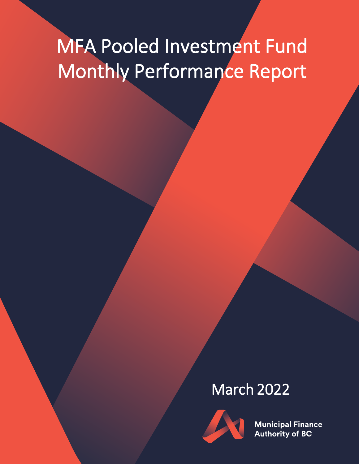# MFA Pooled Investment Fund Monthly Performance Report

## March 2022



**Municipal Finance Authority of BC**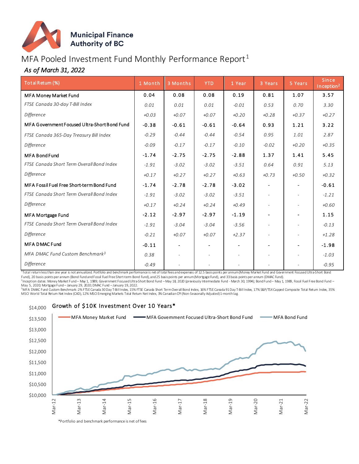

#### MFA Pooled Investment Fund Monthly Performance Report<sup>1</sup>

#### *As of March 31, 2022*

| Total Retum (%)                              | 1 Month | 3 Months                 | <b>YTD</b> | 1 Year                   | 3 Years                  | 5 Years                  | Since<br>Inception <sup>2</sup> |
|----------------------------------------------|---------|--------------------------|------------|--------------------------|--------------------------|--------------------------|---------------------------------|
| <b>MFA Money Market Fund</b>                 | 0.04    | 0.08                     | 0.08       | 0.19                     | 0.81                     | 1.07                     | 3.57                            |
| FTSE Canada 30-day T-Bill Index              | 0.01    | 0.01                     | 0.01       | $-0.01$                  | 0.53                     | 0.70                     | 3.30                            |
| Difference                                   | $+0.03$ | $+0.07$                  | $+0.07$    | $+0.20$                  | $+0.28$                  | $+0.37$                  | $+0.27$                         |
| MFA Government Focused Ultra-Short Bond Fund | $-0.38$ | $-0.61$                  | $-0.61$    | $-0.64$                  | 0.93                     | 1.21                     | 3.22                            |
| FTSE Canada 365-Day Treasury Bill Index      | $-0.29$ | $-0.44$                  | $-0.44$    | $-0.54$                  | 0.95                     | 1.01                     | 2.87                            |
| Difference                                   | $-0.09$ | $-0.17$                  | $-0.17$    | $-0.10$                  | $-0.02$                  | $+0.20$                  | $+0.35$                         |
| <b>MFA Bond Fund</b>                         | $-1.74$ | $-2.75$                  | $-2.75$    | $-2.88$                  | 1.37                     | 1.41                     | 5.45                            |
| FTSE Canada Short Term Overall Bond Index    | $-1.91$ | $-3.02$                  | $-3.02$    | $-3.51$                  | 0.64                     | 0.91                     | 5.13                            |
| Difference                                   | $+0.17$ | $+0.27$                  | $+0.27$    | $+0.63$                  | $+0.73$                  | $+0.50$                  | $+0.32$                         |
| MFA Fossil Fuel Free Short-term Bond Fund    | $-1.74$ | $-2.78$                  | $-2.78$    | $-3.02$                  | $\blacksquare$           | $\sim$                   | $-0.61$                         |
| FTSE Canada Short Term Overall Bond Index    | $-1.91$ | $-3.02$                  | $-3.02$    | $-3.51$                  | $\overline{\phantom{a}}$ |                          | $-1.21$                         |
| Difference                                   | $+0.17$ | $+0.24$                  | $+0.24$    | $+0.49$                  | $\sim$                   |                          | $+0.60$                         |
| MFA Mortgage Fund                            | $-2.12$ | $-2.97$                  | $-2.97$    | $-1.19$                  |                          |                          | 1.15                            |
| FTSE Canada Short Term Overall Bond Index    | $-1.91$ | $-3.04$                  | $-3.04$    | $-3.56$                  | $\overline{\phantom{a}}$ |                          | $-0.13$                         |
| Difference                                   | $-0.21$ | $+0.07$                  | $+0.07$    | $+2.37$                  |                          |                          | $+1.28$                         |
| <b>MFA DMAC Fund</b>                         | $-0.11$ | $\overline{\phantom{a}}$ |            | $\overline{\phantom{a}}$ | $\overline{\phantom{a}}$ | $\blacksquare$           | $-1.98$                         |
| MFA DMAC Fund Custom Benchmark <sup>3</sup>  | 0.38    | $\overline{\phantom{0}}$ | ۰          | $\overline{\phantom{a}}$ | $\overline{\phantom{a}}$ | $\overline{\phantom{a}}$ | $-1.03$                         |
| <b>Difference</b>                            | $-0.49$ |                          |            |                          | $\sim$                   |                          | $-0.95$                         |

1 Total return less than one year is not annualized. Portfolio and benchmark performance is net of total fees and expenses of 12.5 basis points per annum (Money Market Fund and Government Focused Ultra-Short Bond

Fund), 20 basis points per annum (Bond Fund and Fossil Fuel Free Short-term Bond Fund), and 25 basis points per annum (Mortgage Fund), and 33 basis points per annum (DMAC Fund). ,<br><sup>2</sup>Inception dates: Money Market Fund – May 1, 1989; Government Focused Ultra-Short Bond Fund –May 18, 2020 (previously Intermediate Fund - March 30, 1994); Bond Fund – May 1, 1989, Fossil Fuel Free Bond Fund –

May 5, 2020; Mortgage Fund– January 29, 2020; DMAC Fund – January 19, 2022.<br><sup>3</sup>MFA DMAC Fund Custom Benchmark: 2% FTSE Canada 30Day T-Bill Index, 15% FTSE Canada Short Term Overall Bond Index, 16% FTSE Canada 91 Day T-Bill MSCI World Total Return Net Index (CAD), 12% MSCI Emerging Markets Total Return Net Index, 3% Canadian CPI (Non-Seasonally Adjusted) 1-month lag.

#### \$14,000 Growth of \$10K Investment Over 10 Years\*

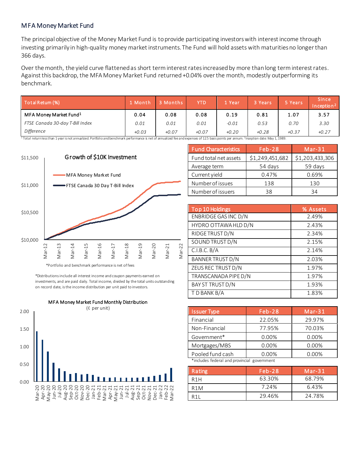#### MFA Money Market Fund

The principal objective of the Money Market Fund is to provide participating investors with interest income through investing primarily in high-quality money market instruments. The Fund will hold assets with maturities no longer than 366 days.

Over the month, the yield curve flattened as short term interest rates increased by more than long term interest rates. Against this backdrop, the MFA Money Market Fund returned +0.04% over the month, modestly outperforming its benchmark.

| Total Return (%)                                                                      | 71 Month | 3 Months | YTD                        | 1 Year  | 3 Years | 5 Years | <b>Since</b><br>In ception $2$ |
|---------------------------------------------------------------------------------------|----------|----------|----------------------------|---------|---------|---------|--------------------------------|
| MFA Money Market Fund <sup>1</sup>                                                    | 0.04     | 0.08     | 0.08                       | 0.19    | 0.81    | 1.07    | 3.57                           |
| FTSE Canada 30-day T-Bill Index                                                       | 0.01     | 0.01     | 0.01                       | $-0.01$ | 0.53    | 0.70    | 3.30                           |
| Difference<br>$1 - 1 - 1 - 1 - 1$<br>$\sim$ $\sim$ $\sim$ $\sim$ $\sim$ $\sim$ $\sim$ | $+0.03$  | $+0.07$  | $+0.07$<br>$f \circ g = 1$ | $+0.20$ | $+0.28$ | $+0.37$ | $+0.27$                        |

 $^1$  Total returnlessthan 1 year is not annualized. Portfolio and benchmark performance is net of annualized fee and expenses of 12.5 basis points per annum. <sup>2</sup>Inception date: May 1, 1989.



\*Portfolio and benchmark performance is net of fees

\*Distributions include all interest income and coupon payments earned on investments, and are paid daily. Total income, divided by the total units outstanding on record date, is the income distribution per unit paid to investors.



| Top 10 Holdings   |       |       |
|-------------------|-------|-------|
|                   |       |       |
| Number of issuers | 38    | 34    |
| Number of issues  | 138   | 130   |
| Current yield     | 0.47% | 0.69% |

Fund Characteristics Feb-28 Mar-31 Fund total net assets  $\left[ \frac{1}{249451682} \right]$  \$1,203,433,306 Average term 154 days 159 days

| Top 10 Holdings         | % Assets |
|-------------------------|----------|
| ENBRIDGE GAS INC D/N    | 2.49%    |
| HYDRO OTTAWA HLD D/N    | 2.43%    |
| RIDGE TRUST D/N         | 2.34%    |
| SOUND TRUST D/N         | 2.15%    |
| C.I.B.C.B/A             | 2.14%    |
| <b>BANNER TRUST D/N</b> | 2.03%    |
| ZEUS REC TRUST D/N      | 1.97%    |
| TRANSCANADA PIPE D/N    | 1.97%    |
| <b>BAY ST TRUST D/N</b> | 1.93%    |
| T D BANK B/A            | 1.83%    |

| <b>Issuer Type</b>                          | Feb-28 | $Mar-31$ |  |  |
|---------------------------------------------|--------|----------|--|--|
| Financial                                   | 22.05% | 29.97%   |  |  |
| Non-Financial                               | 77.95% | 70.03%   |  |  |
| Government*                                 | 0.00%  | 0.00%    |  |  |
| Mortgages/MBS                               | 0.00%  | 0.00%    |  |  |
| Pooled fund cash                            | 0.00%  | 0.00%    |  |  |
| *includes federal and provincial government |        |          |  |  |

| Rating           | $Feb-28$ | $Mar-31$ |
|------------------|----------|----------|
| R <sub>1</sub> H | 63.30%   | 68.79%   |
| R <sub>1</sub> M | 7.24%    | 6.43%    |
| R <sub>11</sub>  | 29.46%   | 24.78%   |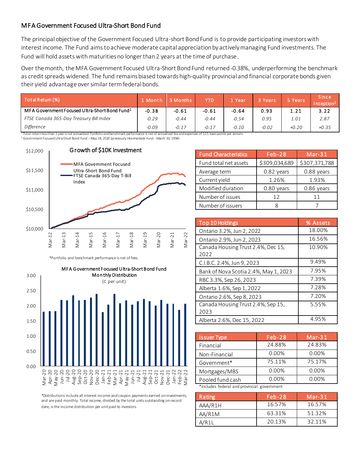#### MFA Government Focused Ultra-Short Bond Fund

The principal objective of the Government Focused Ultra-short Bond Fund is to provide participating investors with interest income. The Fund aims to achieve moderate capital appreciation by actively managing Fund investments. The Fund will hold assets with maturities no longer than 2 years at the time of purchase.

Over the month, the MFA Government Focused Ultra-Short Bond Fund returned -0.38%, underperforming the benchmark as credit spreads widened. The fund remains biased towards high-quality provincial and financial corporate bonds given their yield advantage over similar term federal bonds.

| Total Retum (%)                                           | <b>A</b> Month | 3 Months | <b>YTD</b> | l Year  | 3 Years | 5 Years | <b>Since</b><br>Incention <sup>2</sup> |
|-----------------------------------------------------------|----------------|----------|------------|---------|---------|---------|----------------------------------------|
| MFA Government Focused Ultra-Short Bond Fund <sup>1</sup> | $-0.38$        | $-0.61$  | $-0.61$    | $-0.64$ | 0.93    | 1.21    | 3.22                                   |
| FTSE Canada 365-Day Treasury Bill Index                   | $-0.29$        | $-0.44$  | $-0.44$    | $-0.54$ | 0.95    | 1.01    | 2.87                                   |
| Difference                                                | $-0.09$        | $-0.17$  | $-0.17$    | $-0.10$ | $-0.02$ | $+0.20$ | $+0.35$                                |

<sup>2</sup> Government Focused Ultra-Short Bond Fund – May 18, 2020 (previously Intermediate Fund - March 30, 1994)



\*Portfolio and benchmark performance is net of fees



\*Distributions include all interest income and coupon payments earned on investments, and are paid monthly. Total income, divided by the total units outstanding on record date, is the income distribution per unit paid to investors.

| <b>Fund Characteristics</b> | $Feb-28$      | Mar-31        |
|-----------------------------|---------------|---------------|
| Fund total net assets       | \$309,034,689 | \$307,371,788 |
| Average term                | 0.82 years    | 0.88 years    |
| Current yield               | 1.26%         | 1.93%         |
| Modified duration           | 0.80 years    | $0.86$ years  |
| Number of issues            | 12            | 11            |
| Number of issuers           |               |               |

| Top 10 Holdings                            | % Assets |
|--------------------------------------------|----------|
| Ontario 3.2%, Jun 2, 2022                  | 18.00%   |
| Ontario 2.9%, Jun 2, 2023                  | 16.56%   |
| Canada Housing Trust 2.4%, Dec 15,<br>2022 | 10.90%   |
| C.I.B.C. 2.4%, Jun 9, 2023                 | 9.49%    |
| Bank of Nova Scotia 2.4%, May 1, 2023      | 7.95%    |
| RBC 3.3%, Sep 26, 2023                     | 7.39%    |
| Alberta 1.6%, Sep 1, 2022                  | 7.28%    |
| Ontario 2.6%, Sep 8, 2023                  | 7.20%    |
| Canada Housing Trust 2.4%, Sep 15,<br>2023 | 5.55%    |
| Alberta 2.6%, Dec 15, 2022                 | 4.95%    |

| <b>Issuer Type</b>                          | $Feb-28$ | $Mar-31$ |
|---------------------------------------------|----------|----------|
| Financial                                   | 24.88%   | 24.83%   |
| Non-Financial                               | 0.00%    | 0.00%    |
| Government*                                 | 75.11%   | 75.17%   |
| Mortgages/MBS                               | 0.00%    | 0.00%    |
| Pooled fund cash                            | 0.00%    | 0.00%    |
| *includes federal and provincial government |          |          |

| Rating  | $Feb-28$ | Mar-31 |
|---------|----------|--------|
| AAA/R1H | 16.57%   | 16.57% |
| AA/R1M  | 63.31%   | 51.32% |
| A/R11   | 20.13%   | 32.11% |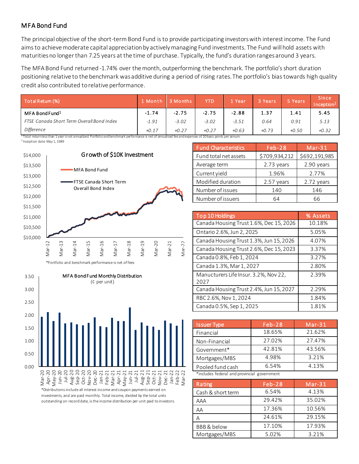#### MFA Bond Fund

The principal objective of the short-term Bond Fund is to provide participating investors with interest income. The Fund aims to achieve moderate capital appreciation by actively managing Fund investments. The Fund will hold assets with maturities no longer than 7.25 years at the time of purchase. Typically, the fund's duration ranges around 3 years.

The MFA Bond Fund returned -1.74% over the month, outperforming the benchmark. The portfolio's short duration positioning relative to the benchmark was additive during a period of rising rates. The portfolio's bias towards high quality credit also contributed to relative performance.

| Total Return (%)                          | . Month | <b>Months</b> | <b>YTD</b> | Year    | 3 Years | 5 Years | <b>Since</b><br>Inception <sup>2</sup> |
|-------------------------------------------|---------|---------------|------------|---------|---------|---------|----------------------------------------|
| MFA Bond Fund <sup>1</sup>                | $-1.74$ | $-2.75$       | $-2.75$    | $-2.88$ | 1.37    | 1.41    | 5.45                                   |
| FTSE Canada Short Term Overall Bond Index | $-1.91$ | $-3.02$       | $-3.02$    | $-3.51$ | 0.64    | 0.91    | 5.13                                   |
| Difference                                | $+0.17$ | $+0.27$       | $+0.27$    | $+0.63$ | $+0.73$ | $+0.50$ | $+0.32$                                |

 $1$  Total return less than 1 year is not annualized. Portfolio and benchmark performance is net of annualized fee and expenses of 20 basis points per annum. <sup>3</sup> Inception date: May 1, 1989



\*Portfolio and benchmark performance is net of fees



investments, and are paid monthly. Total income, divided by the total units outstanding on record date, is the income distribution per unit paid to investors.

| <b>Fund Characteristics</b> | $Feb-28$      | $Mar-31$      |
|-----------------------------|---------------|---------------|
| Fund total net assets       | \$709,934,212 | \$692,191,985 |
| Average term                | 2.73 years    | 2.90 years    |
| Current yield               | 1.96%         | 2.77%         |
| Modified duration           | 2.57 years    | 2.72 years    |
| Number of issues            | 140           | 146           |
| Number of issuers           | 64            | 66            |

| Top 10 Holdings                               | % Assets |
|-----------------------------------------------|----------|
| Canada Housing Trust 1.6%, Dec 15, 2026       | 10.18%   |
| Ontario 2.6%, Jun 2, 2025                     | 5.05%    |
| Canada Housing Trust 1.3%, Jun 15, 2026       | 4.07%    |
| Canada Housing Trust 2.6%, Dec 15, 2023       | 3.37%    |
| Canada 0.8%, Feb 1, 2024                      | 3.27%    |
| Canada 1.3%, Mar 1, 2027                      | 2.80%    |
| Manucturers Life Insur. 3.2%, Nov 22,<br>2027 | 2.39%    |
| Canada Housing Trust 2.4%, Jun 15, 2027       | 2.29%    |
| RBC 2.6%, Nov 1, 2024                         | 1.84%    |
| Canada 0.5%, Sep 1, 2025                      | 1.81%    |

| <b>Issuer Type</b>                          | Feb-28 | $Mar-31$ |  |  |  |  |
|---------------------------------------------|--------|----------|--|--|--|--|
| Financial                                   | 18.65% | 21.62%   |  |  |  |  |
| Non-Financial                               | 27.02% | 27.47%   |  |  |  |  |
| Government*                                 | 42.81% | 43.56%   |  |  |  |  |
| Mortgages/MBS                               | 4.98%  | 3.21%    |  |  |  |  |
| Pooled fund cash                            | 6.54%  | 4.13%    |  |  |  |  |
| *includes federal and provincial government |        |          |  |  |  |  |

| Rating            | $Feb-28$ | $Mar-31$ |
|-------------------|----------|----------|
| Cash & short term | 6.54%    | 4.13%    |
| AAA               | 29.42%   | 35.02%   |
| AΑ                | 17.36%   | 10.56%   |
|                   | 24.61%   | 29.15%   |
| BBB & below       | 17.10%   | 17.93%   |
| Mortgages/MBS     | 5.02%    | 3.21%    |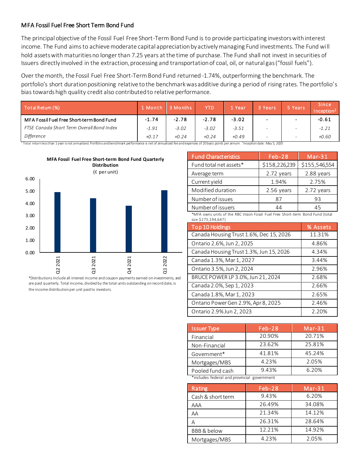#### MFA Fossil Fuel Free Short Term Bond Fund

The principal objective of the Fossil Fuel Free Short-Term Bond Fund is to provide participating investors with interest income. The Fund aims to achieve moderate capital appreciation by actively managing Fund investments. The Fund will hold assets with maturities no longer than 7.25 years at the time of purchase. The Fund shall not invest in securities of Issuers directly involved in the extraction, processing and transportation of coal, oil, or natural gas ("fossil fuels").

Over the month, the Fossil Fuel Free Short-Term Bond Fund returned -1.74%, outperforming the benchmark. The portfolio's short duration positioning relative to the benchmark was additive during a period of rising rates. The portfolio's bias towards high quality credit also contributed to relative performance.

| Total Retum (%)                                                                                                                                                                                              | 1 Month | 3 Months | <b>YTD</b> | 1 Year  | 3 Years | 5 Years                  | <b>Since</b><br>Inception <sup>2</sup> |
|--------------------------------------------------------------------------------------------------------------------------------------------------------------------------------------------------------------|---------|----------|------------|---------|---------|--------------------------|----------------------------------------|
| MFA Fossil Fuel Free Short-term Bond Fund                                                                                                                                                                    | $-1.74$ | $-2.78$  | $-2.78$    | $-3.02$ |         |                          | $-0.61$                                |
| FTSE Canada Short Term Overall Bond Index                                                                                                                                                                    | $-1.91$ | $-3.02$  | $-3.02$    | $-3.51$ |         |                          | $-1.21$                                |
| Difference                                                                                                                                                                                                   | $+0.17$ | $+0.24$  | $+0.24$    | $+0.49$ |         | $\overline{\phantom{0}}$ | $+0.60$                                |
| <sup>1</sup> Total returnlessthan 1 year is not annualized. Portfolio and benchmark performance is net of annualized fee and expenses of 20 basis points per annum. <sup>2</sup> Inception date: May 5, 2020 |         |          |            |         |         |                          |                                        |



\*Distributions include all interest income and coupon payments earned on investments, and are paid quarterly. Total income, divided by the total units outstanding on record date, is the income distribution per unit paid to investors.

| <b>Fund Characteristics</b> | <b>Feb-28</b> | $Mar-31$      |
|-----------------------------|---------------|---------------|
| Fund total net assets*      | \$158,226,239 | \$155,546,554 |
| Average term                | 2.72 years    | 2.88 years    |
| Current yield               | 1.94%         | 2.75%         |
| Modified duration           | 2.56 years    | 2.72 years    |
| Number of issues            | 87            | 93            |
| Number of issuers           | 44            | 45            |

\*MFA owns units of the RBC Vision Fossil Fuel Free Short-term Bond Fund (total size \$275,194,647)

| Top 10 Holdings                         | % Assets |
|-----------------------------------------|----------|
| Canada Housing Trust 1.6%, Dec 15, 2026 | 11.31%   |
| Ontario 2.6%, Jun 2, 2025               | 4.86%    |
| Canada Housing Trust 1.3%, Jun 15, 2026 | 4.34%    |
| Canada 1.3%, Mar 1, 2027                | 3.44%    |
| Ontario 3.5%, Jun 2, 2024               | 2.96%    |
| BRUCE POWER LP 3.0%, Jun 21, 2024       | 2.68%    |
| Canada 2.0%, Sep 1, 2023                | 2.66%    |
| Canada 1.8%, Mar 1, 2023                | 2.65%    |
| Ontario Power Gen 2.9%, Apr 8, 2025     | 2.46%    |
| Ontario 2.9% Jun 2, 2023                | 2.20%    |

| <b>Issuer Type</b>                          | $Feb-28$ | $Mar-31$ |  |  |  |  |
|---------------------------------------------|----------|----------|--|--|--|--|
| Financial                                   | 20.90%   | 20.71%   |  |  |  |  |
| Non-Financial                               | 23.62%   | 25.81%   |  |  |  |  |
| Government*                                 | 41.81%   | 45.24%   |  |  |  |  |
| Mortgages/MBS                               | 4.23%    | 2.05%    |  |  |  |  |
| Pooled fund cash                            | 9.43%    | 6.20%    |  |  |  |  |
| *includes federal and provincial government |          |          |  |  |  |  |

Rating Rating Rating Reb-28 Mar-31 Cash & short term 9.43% 6.20% AAA 26.49% 34.08% AA 21.34% 14.12% A 26.31% 28.64% BBB & below 12.21% 14.92% Mortgages/MBS 4.23% 2.05%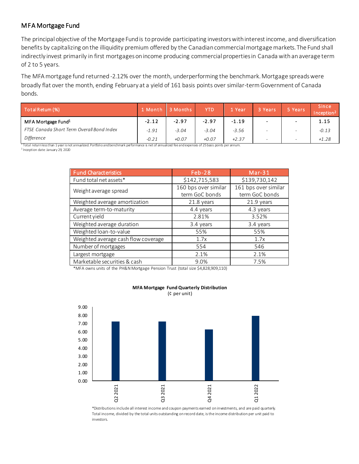#### MFA Mortgage Fund

The principal objective of the Mortgage Fund is to provide participating investors with interest income, and diversification benefits by capitalizing on the illiquidity premium offered by the Canadian commercial mortgage markets. The Fund shall indirectly invest primarily in first mortgages on income producing commercial properties in Canada with an average term of 2 to 5 years.

The MFA mortgage fund returned -2.12% over the month, underperforming the benchmark. Mortgage spreads were broadly flat over the month, ending February at a yield of 161 basis points over similar-term Government of Canada bonds.

| Total Retum (%)                           | 1 Month | 3 Months | <b>YTD</b> | 1 Year  | 3 Years                      | 5 Years                  | <b>Since</b><br>Inception <sup>2</sup> |
|-------------------------------------------|---------|----------|------------|---------|------------------------------|--------------------------|----------------------------------------|
| MFA Mortgage Fund <sup>1</sup>            | $-2.12$ | $-2.97$  | $-2.97$    | $-1.19$ |                              | $\sim$                   | 1.15                                   |
| FTSE Canada Short Term Overall Bond Index | $-1.91$ | $-3.04$  | $-3.04$    | $-3.56$ | $\qquad \qquad \blacksquare$ | $\overline{\phantom{0}}$ | $-0.13$                                |
| Difference                                | $-0.21$ | $+0.07$  | $+0.07$    | $+2.37$ |                              | $\overline{\phantom{0}}$ | $+1.28$                                |

<sup>1</sup>Total return less than 1 year is not annualized. Portfolio and benchmark performance is net of annualized fee and expenses of 25 basis points per annum. 2 Inception date: January 29, 2020

| <b>Fund Characteristics</b>         | $Feb-28$             | $Mar-31$             |
|-------------------------------------|----------------------|----------------------|
| Fund total net assets*              | \$142,715,583        | \$139,730,142        |
| Weight average spread               | 160 bps over similar | 161 bps over similar |
|                                     | term GoC bonds       | term GoC bonds       |
| Weighted average amortization       | 21.8 years           | 21.9 years           |
| Average term-to-maturity            | 4.4 years            | 4.3 years            |
| Current yield                       | 2.81%                | 3.52%                |
| Weighted average duration           | 3.4 years            | 3.4 years            |
| Weighted loan-to-value              | 55%                  | 55%                  |
| Weighted average cash flow coverage | 1.7x                 | 1.7x                 |
| Number of mortgages                 | 554                  | 546                  |
| Largest mortgage                    | 2.1%                 | 2.1%                 |
| Marketable securities & cash        | 9.0%                 | 7.5%                 |

\*MFA owns units of the PH&N Mortgage Pension Trust (total size \$4,828,909,110)



**MFA Mortgage Fund Quarterly Distribution** 

(¢ per unit)

\*Distributions include all interest income and coupon payments earned on investments, and are paid quarterly. Total income, divided by the total units outstanding on record date, is the income distribution per unit paid to investors.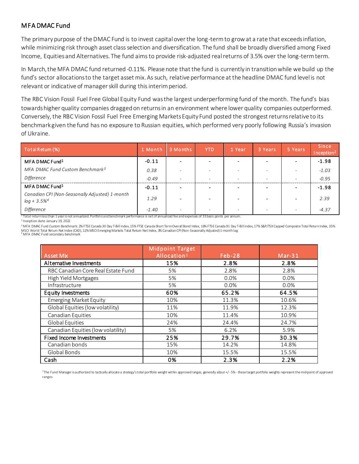#### MFA DMAC Fund

The primary purpose of the DMAC Fund is to invest capital over the long-term to grow at a rate that exceeds inflation, while minimizing risk through asset class selection and diversification. The fund shall be broadly diversified among Fixed Income, Equities and Alternatives. The fund aims to provide risk-adjusted real returns of 3.5% over the long-term term.

In March, the MFA DMAC fund returned -0.11%. Please note that the fund is currently in transition while we build up the fund's sector allocations to the target asset mix. As such, relative performance at the headline DMAC fund level is not relevant or indicative of manager skill during this interim period.

The RBC Vision Fossil Fuel Free Global Equity Fund was the largest underperforming fund of the month. The fund's bias towards higher quality companies dragged on returns in an environment where lower quality companies outperformed. Conversely, the RBC Vision Fossil Fuel Free Emerging Markets Equity Fund posted the strongest returns relative to its benchmark given the fund has no exposure to Russian equities, which performed very poorly following Russia's invasion of Ukraine.

| Total Retum (%)                                                              | 1 Month | 3 Months                 | <b>YTD</b>               | 1 Year                   | 3 Years                  | 5 Years                  | Since<br>Inception <sup>2</sup> |
|------------------------------------------------------------------------------|---------|--------------------------|--------------------------|--------------------------|--------------------------|--------------------------|---------------------------------|
| MFA DMAC Fund <sup>1</sup>                                                   | $-0.11$ |                          |                          |                          |                          |                          | $-1.98$                         |
| MFA DMAC Fund Custom Benchmark <sup>3</sup>                                  | 0.38    |                          |                          |                          |                          | $\overline{\phantom{a}}$ | $-1.03$                         |
| Difference                                                                   | $-0.49$ | $\overline{\phantom{0}}$ | $\overline{\phantom{0}}$ | $\overline{\phantom{0}}$ | $\overline{\phantom{0}}$ | $\overline{\phantom{a}}$ | $-0.95$                         |
| MFA DMAC Fund <sup>1</sup>                                                   | $-0.11$ |                          |                          |                          |                          |                          | $-1.98$                         |
| Canadian CPI (Non-Seasonally Adjusted) 1-month<br>$lag + 3.5\%$ <sup>4</sup> | 1.29    |                          |                          |                          |                          | $\,$ $\,$                | 2.39                            |
| Difference                                                                   | $-1.40$ | $\overline{\phantom{0}}$ |                          |                          | $\overline{\phantom{0}}$ | $\overline{\phantom{a}}$ | $-4.37$                         |

 $^{\rm 1}$  Total return less than 1 year is not annualized. Portfolio and benchmark performance is net of annualized fee and expenses of 33 basis points per annum.

2 Inception date: January 19, 2022

<sup>3</sup>MFA DMAC Fund Custom Benchmark: 2% FTSE Canada 30 Day T-Bill Index, 15% FTSE Canada Short Term Overall Bond Index, 16% FTSE Canada 91 Day T-Bill Index, 17% S&P/TSX Capped Composite Total Return Index, 35% MSCI World Total Return Net Index (CAD), 12% MSCI Emerging Markets Total Return Net Index, 3% Canadian CPI (Non-Seasonally Adjusted)1-month lag.

| <sup>4</sup> MFA DMAC Fund secondary benchmark |  |  |
|------------------------------------------------|--|--|
|                                                |  |  |

| <b>Asset Mix</b>                   | <b>Midpoint Target</b><br>Allocation <sup>1</sup> | Feb-28 | $Mar-31$ |
|------------------------------------|---------------------------------------------------|--------|----------|
| Alternative Investments            | 15%                                               | 2.8%   | 2.8%     |
| RBC Canadian Core Real Estate Fund | 5%                                                | 2.8%   | 2.8%     |
| High Yield Mortgages               | 5%                                                | 0.0%   | 0.0%     |
| Infrastructure                     | 5%                                                | 0.0%   | 0.0%     |
| Equity Investments                 | 60%                                               | 65.2%  | 64.5%    |
| <b>Emerging Market Equity</b>      | 10%                                               | 11.3%  | 10.6%    |
| Global Equities (low volatility)   | 11%                                               | 11.9%  | 12.3%    |
| Canadian Equities                  | 10%                                               | 11.4%  | 10.9%    |
| Global Equities                    | 24%                                               | 24.4%  | 24.7%    |
| Canadian Equities (low volatility) | 5%                                                | 6.2%   | 5.9%     |
| Fixed Income Investments           | 25%                                               | 29.7%  | 30.3%    |
| Canadian bonds                     | 15%                                               | 14.2%  | 14.8%    |
| Global Bonds                       | 10%                                               | 15.5%  | 15.5%    |
| Cash                               | 0%                                                | 2.3%   | 2.2%     |

1 The Fund Manager is authorized to tactically allocate a strategy's total portfolio weight within approved ranges, generally about +/- 5% - these target portfolio weights represent the mid-point of approved ranges